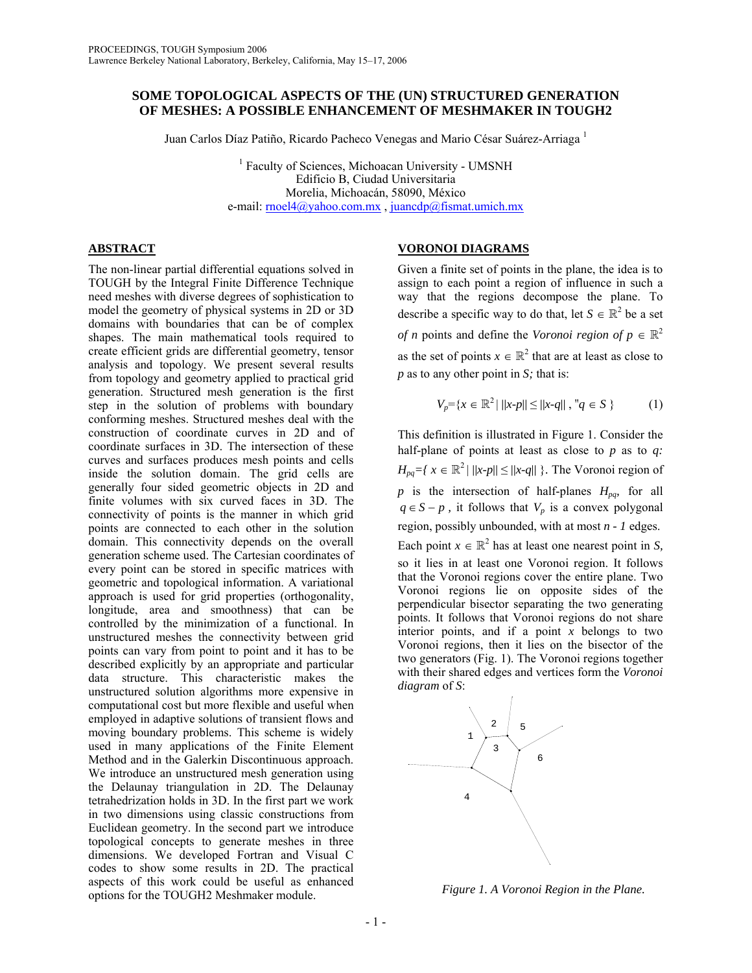# **SOME TOPOLOGICAL ASPECTS OF THE (UN) STRUCTURED GENERATION OF MESHES: A POSSIBLE ENHANCEMENT OF MESHMAKER IN TOUGH2**

Juan Carlos Díaz Patiño, Ricardo Pacheco Venegas and Mario César Suárez-Arriaga 1

<sup>1</sup> Faculty of Sciences, Michoacan University - UMSNH Edificio B, Ciudad Universitaria Morelia, Michoacán, 58090, México e-mail: [rnoel4@yahoo.com.mx](mailto:rnoel4@yahoo.com.mx) , [juancdp@fismat.umich.mx](mailto:juancdp@fismat.umich.mx)

# **ABSTRACT**

The non-linear partial differential equations solved in TOUGH by the Integral Finite Difference Technique need meshes with diverse degrees of sophistication to model the geometry of physical systems in 2D or 3D domains with boundaries that can be of complex shapes. The main mathematical tools required to create efficient grids are differential geometry, tensor analysis and topology. We present several results from topology and geometry applied to practical grid generation. Structured mesh generation is the first step in the solution of problems with boundary conforming meshes. Structured meshes deal with the construction of coordinate curves in 2D and of coordinate surfaces in 3D. The intersection of these curves and surfaces produces mesh points and cells inside the solution domain. The grid cells are generally four sided geometric objects in 2D and finite volumes with six curved faces in 3D. The connectivity of points is the manner in which grid points are connected to each other in the solution domain. This connectivity depends on the overall generation scheme used. The Cartesian coordinates of every point can be stored in specific matrices with geometric and topological information. A variational approach is used for grid properties (orthogonality, longitude, area and smoothness) that can be controlled by the minimization of a functional. In unstructured meshes the connectivity between grid points can vary from point to point and it has to be described explicitly by an appropriate and particular data structure. This characteristic makes the unstructured solution algorithms more expensive in computational cost but more flexible and useful when employed in adaptive solutions of transient flows and moving boundary problems. This scheme is widely used in many applications of the Finite Element Method and in the Galerkin Discontinuous approach. We introduce an unstructured mesh generation using the Delaunay triangulation in 2D. The Delaunay tetrahedrization holds in 3D. In the first part we work in two dimensions using classic constructions from Euclidean geometry. In the second part we introduce topological concepts to generate meshes in three dimensions. We developed Fortran and Visual C codes to show some results in 2D. The practical aspects of this work could be useful as enhanced options for the TOUGH2 Meshmaker module.

# **VORONOI DIAGRAMS**

Given a finite set of points in the plane, the idea is to assign to each point a region of influence in such a way that the regions decompose the plane. To describe a specific way to do that, let  $S \in \mathbb{R}^2$  be a set *of n* points and define the *Voronoi region of*  $p \in \mathbb{R}^2$ as the set of points  $x \in \mathbb{R}^2$  that are at least as close to *p* as to any other point in *S;* that is:

$$
V_p = \{ x \in \mathbb{R}^2 \mid ||x-p|| \le ||x-q||, \, \forall q \in S \}
$$
 (1)

This definition is illustrated in Figure 1. Consider the half-plane of points at least as close to *p* as to *q:*   $H_{pq} = \{ x \in \mathbb{R}^2 \mid ||x-p|| \le ||x-q|| \}$ . The Voronoi region of *p* is the intersection of half-planes  $H_{pq}$ , for all  $q \in S - p$ , it follows that  $V_p$  is a convex polygonal region, possibly unbounded, with at most *n - 1* edges. Each point  $x \in \mathbb{R}^2$  has at least one nearest point in *S*, so it lies in at least one Voronoi region. It follows that the Voronoi regions cover the entire plane. Two Voronoi regions lie on opposite sides of the perpendicular bisector separating the two generating points. It follows that Voronoi regions do not share interior points, and if a point  $x$  belongs to two Voronoi regions, then it lies on the bisector of the two generators (Fig. 1). The Voronoi regions together with their shared edges and vertices form the *Voronoi diagram* of *S*:



*Figure 1. A Voronoi Region in the Plane.*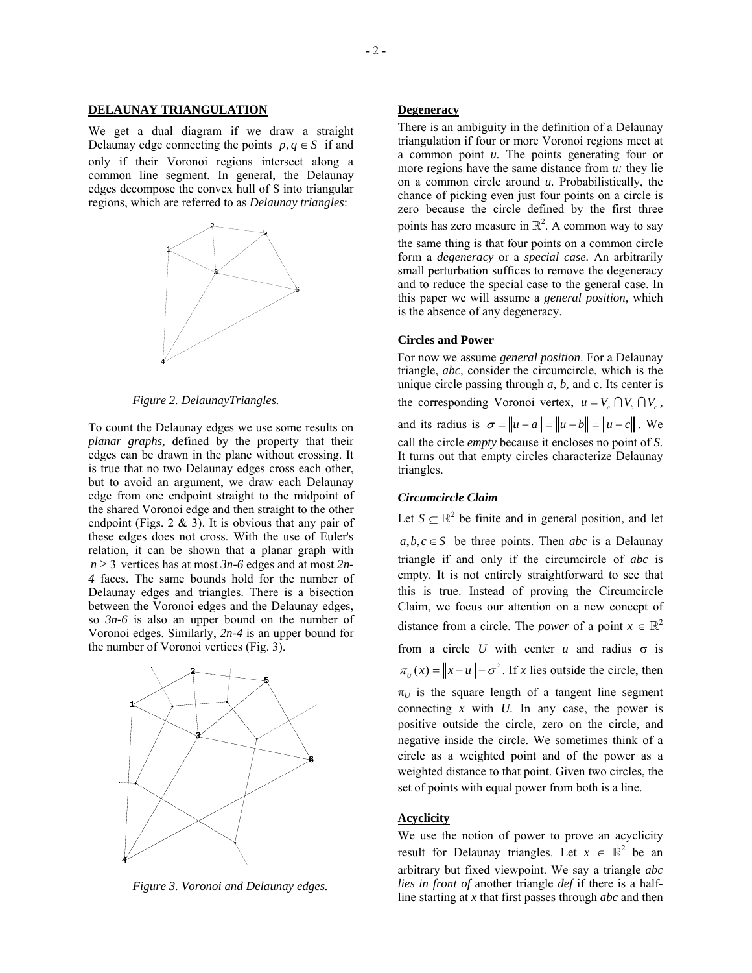#### **DELAUNAY TRIANGULATION**

We get a dual diagram if we draw a straight Delaunay edge connecting the points  $p, q \in S$  if and only if their Voronoi regions intersect along a common line segment. In general, the Delaunay edges decompose the convex hull of S into triangular regions, which are referred to as *Delaunay triangles*:



*Figure 2. DelaunayTriangles.* 

To count the Delaunay edges we use some results on *planar graphs,* defined by the property that their edges can be drawn in the plane without crossing. It is true that no two Delaunay edges cross each other, but to avoid an argument, we draw each Delaunay edge from one endpoint straight to the midpoint of the shared Voronoi edge and then straight to the other endpoint (Figs.  $2 \& 3$ ). It is obvious that any pair of these edges does not cross. With the use of Euler's relation, it can be shown that a planar graph with  $n \geq 3$  vertices has at most  $3n-6$  edges and at most  $2n-6$ *4* faces. The same bounds hold for the number of Delaunay edges and triangles. There is a bisection between the Voronoi edges and the Delaunay edges, so *3n-6* is also an upper bound on the number of Voronoi edges. Similarly, *2n-4* is an upper bound for the number of Voronoi vertices (Fig. 3).



*Figure 3. Voronoi and Delaunay edges.*

# **Degeneracy**

There is an ambiguity in the definition of a Delaunay triangulation if four or more Voronoi regions meet at a common point *u.* The points generating four or more regions have the same distance from *u:* they lie on a common circle around *u.* Probabilistically, the chance of picking even just four points on a circle is zero because the circle defined by the first three points has zero measure in  $\mathbb{R}^2$ . A common way to say the same thing is that four points on a common circle form a *degeneracy* or a *special case.* An arbitrarily small perturbation suffices to remove the degeneracy and to reduce the special case to the general case. In this paper we will assume a *general position,* which is the absence of any degeneracy.

## **Circles and Power**

For now we assume *general position*. For a Delaunay triangle, *abc,* consider the circumcircle, which is the unique circle passing through *a, b,* and c. Its center is the corresponding Voronoi vertex,  $u = V_a \cap V_b \cap V_c$ , and its radius is  $\sigma = ||u - a|| = ||u - b|| = ||u - c||$ . We call the circle *empty* because it encloses no point of *S.* It turns out that empty circles characterize Delaunay triangles.

### *Circumcircle Claim*

Let  $S \subseteq \mathbb{R}^2$  be finite and in general position, and let

 $a, b, c \in S$  be three points. Then *abc* is a Delaunay triangle if and only if the circumcircle of *abc* is empty. It is not entirely straightforward to see that this is true. Instead of proving the Circumcircle Claim, we focus our attention on a new concept of distance from a circle. The *power* of a point  $x \in \mathbb{R}^2$ from a circle *U* with center *u* and radius  $\sigma$  is  $\pi_v(x) = ||x - u|| - \sigma^2$ . If *x* lies outside the circle, then  $\pi$ <sub>*U*</sub> is the square length of a tangent line segment connecting *x* with *U.* In any case, the power is positive outside the circle, zero on the circle, and negative inside the circle. We sometimes think of a circle as a weighted point and of the power as a weighted distance to that point. Given two circles, the set of points with equal power from both is a line.

## **Acyclicity**

We use the notion of power to prove an acyclicity result for Delaunay triangles. Let  $x \in \mathbb{R}^2$  be an arbitrary but fixed viewpoint. We say a triangle *abc lies in front of* another triangle *def* if there is a halfline starting at *x* that first passes through *abc* and then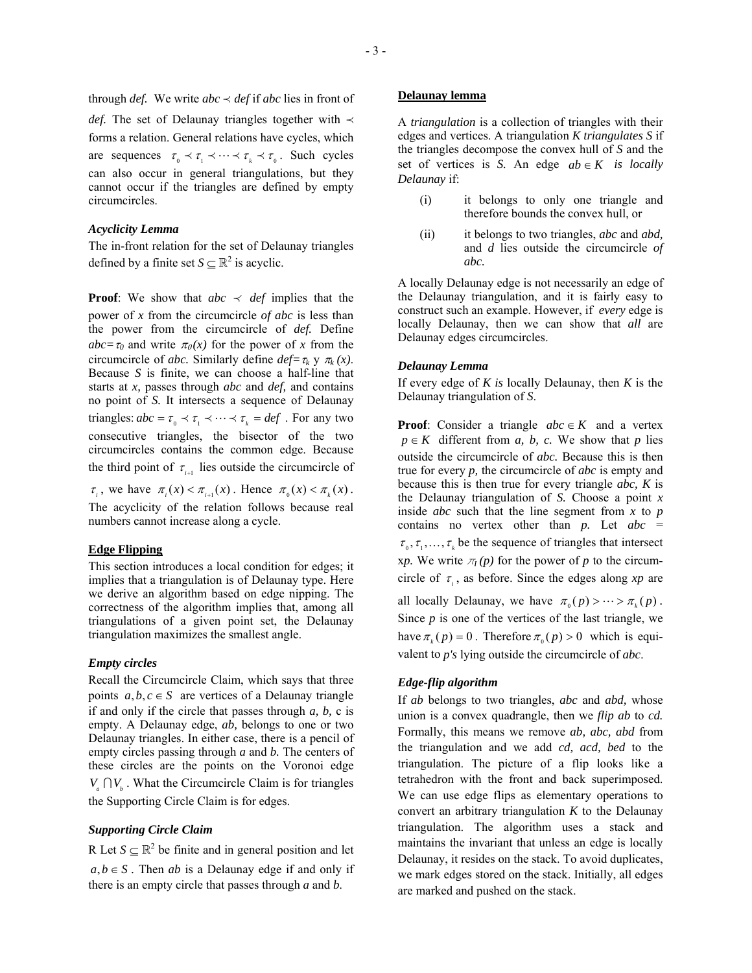*def.* The set of Delaunay triangles together with ≺ forms a relation. General relations have cycles, which are sequences  $\tau_0 \prec \tau_1 \prec \cdots \prec \tau_k \prec \tau_0$ . Such cycles can also occur in general triangulations, but they cannot occur if the triangles are defined by empty circumcircles.

## *Acyclicity Lemma*

The in-front relation for the set of Delaunay triangles defined by a finite set  $S \subseteq \mathbb{R}^2$  is acyclic.

triangles:  $abc = \tau_0 \prec \tau_1 \prec \cdots \prec \tau_k = def$ . For any two **Proof**: We show that  $abc \nightharpoonup def$  implies that the power of *x* from the circumcircle *of abc* is less than the power from the circumcircle of *def.* Define  $abc = \tau_0$  and write  $\pi_0(x)$  for the power of *x* from the circumcircle of *abc*. Similarly define  $def = \tau_k \, y \, \pi_k(x)$ . Because *S* is finite, we can choose a half-line that starts at *x,* passes through *abc* and *def,* and contains no point of *S.* It intersects a sequence of Delaunay consecutive triangles, the bisector of the two circumcircles contains the common edge. Because the third point of  $\tau_{i+1}$  lies outside the circumcircle of

*τ*<sub>*i*</sub>, we have  $\pi_i(x) < \pi_{i+1}(x)$ . Hence  $\pi_0(x) < \pi_i(x)$ . The acyclicity of the relation follows because real numbers cannot increase along a cycle.

## **Edge Flipping**

This section introduces a local condition for edges; it implies that a triangulation is of Delaunay type. Here we derive an algorithm based on edge nipping. The correctness of the algorithm implies that, among all triangulations of a given point set, the Delaunay triangulation maximizes the smallest angle.

#### *Empty circles*

Recall the Circumcircle Claim, which says that three points  $a, b, c \in S$  are vertices of a Delaunay triangle if and only if the circle that passes through *a, b,* c is empty. A Delaunay edge, *ab,* belongs to one or two Delaunay triangles. In either case, there is a pencil of empty circles passing through *a* and *b.* The centers of these circles are the points on the Voronoi edge  $V_a \cap V_b$ . What the Circumcircle Claim is for triangles the Supporting Circle Claim is for edges.

# *Supporting Circle Claim*

R Let  $S \subseteq \mathbb{R}^2$  be finite and in general position and let  $a, b \in S$ . Then *ab* is a Delaunay edge if and only if there is an empty circle that passes through *a* and *b*.

## **Delaunay lemma**

A *triangulation* is a collection of triangles with their edges and vertices. A triangulation *K triangulates S* if the triangles decompose the convex hull of *S* and the set of vertices is *S*. An edge  $ab \in K$  is locally *Delaunay* if:

- (i) it belongs to only one triangle and therefore bounds the convex hull, or
- (ii) it belongs to two triangles, *abc* and *abd,* and *d* lies outside the circumcircle *of abc.*

A locally Delaunay edge is not necessarily an edge of the Delaunay triangulation, and it is fairly easy to construct such an example. However, if *every* edge is locally Delaunay, then we can show that *all* are Delaunay edges circumcircles.

#### *Delaunay Lemma*

If every edge of *K is* locally Delaunay, then *K* is the Delaunay triangulation of *S*.

**Proof**: Consider a triangle  $abc \in K$  and a vertex  $p \in K$  different from *a, b, c.* We show that *p* lies outside the circumcircle of *abc.* Because this is then true for every *p,* the circumcircle of *abc* is empty and because this is then true for every triangle *abc, K* is the Delaunay triangulation of *S.* Choose a point *x*  inside *abc* such that the line segment from *x* to *p* contains no vertex other than *p.* Let *abc* =  $\tau_{0}, \tau_{1}, \ldots, \tau_{k}$  be the sequence of triangles that intersect xp. We write  $\pi$ <sub>*I*</sub>(*p*) for the power of *p* to the circumcircle of  $\tau_i$ , as before. Since the edges along *xp* are all locally Delaunay, we have  $\pi_{0}(p) > \cdots > \pi_{k}(p)$ . Since *p* is one of the vertices of the last triangle, we have  $\pi_k(p) = 0$ . Therefore  $\pi_0(p) > 0$  which is equi-

valent to *p's* lying outside the circumcircle of *abc*.

## *Edge-flip algorithm*

If *ab* belongs to two triangles, *abc* and *abd,* whose union is a convex quadrangle, then we *flip ab* to *cd.* Formally, this means we remove *ab, abc, abd* from the triangulation and we add *cd, acd, bed* to the triangulation. The picture of a flip looks like a tetrahedron with the front and back superimposed. We can use edge flips as elementary operations to convert an arbitrary triangulation *K* to the Delaunay triangulation. The algorithm uses a stack and maintains the invariant that unless an edge is locally Delaunay, it resides on the stack. To avoid duplicates, we mark edges stored on the stack. Initially, all edges are marked and pushed on the stack.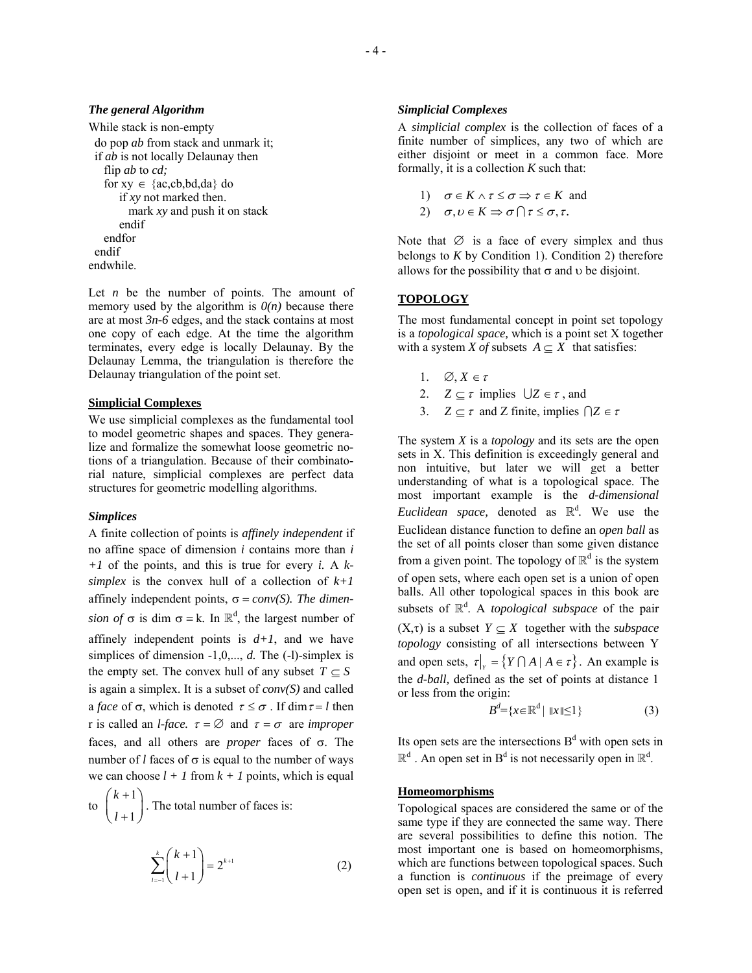## *The general Algorithm*

```
While stack is non-empty 
  do pop ab from stack and unmark it; 
  if ab is not locally Delaunay then 
    flip ab to cd; 
   for xy \in \{ac, cb, bd, da\} do
       if xy not marked then. 
         mark xy and push it on stack 
       endif 
    endfor 
  endif 
endwhile.
```
Let *n* be the number of points. The amount of memory used by the algorithm is  $O(n)$  because there are at most *3n-6* edges, and the stack contains at most one copy of each edge. At the time the algorithm terminates, every edge is locally Delaunay. By the Delaunay Lemma, the triangulation is therefore the Delaunay triangulation of the point set.

## **Simplicial Complexes**

We use simplicial complexes as the fundamental tool to model geometric shapes and spaces. They generalize and formalize the somewhat loose geometric notions of a triangulation. Because of their combinatorial nature, simplicial complexes are perfect data structures for geometric modelling algorithms.

#### *Simplices*

A finite collection of points is *affinely independent* if no affine space of dimension *i* contains more than *i +1* of the points, and this is true for every *i.* A *ksimplex* is the convex hull of a collection of  $k+1$ affinely independent points,  $\sigma = conv(S)$ . The dimen*sion of*  $\sigma$  is dim  $\sigma = k$ . In  $\mathbb{R}^d$ , the largest number of affinely independent points is  $d+1$ , and we have simplices of dimension -1,0,..., *d*. The (-l)-simplex is the empty set. The convex hull of any subset  $T \subseteq S$ is again a simplex. It is a subset of *conv(S)* and called a *face* of  $\sigma$ , which is denoted  $\tau \leq \sigma$ . If dim  $\tau = l$  then r is called an *l*-face.  $\tau = \emptyset$  and  $\tau = \sigma$  are *improper* faces, and all others are *proper* faces of σ. The number of *l* faces of  $\sigma$  is equal to the number of ways we can choose  $l + 1$  from  $k + 1$  points, which is equal

to 
$$
\binom{k+1}{l+1}
$$
. The total number of faces is:

$$
\sum_{l=1}^{k} {k+1 \choose l+1} = 2^{k+1} \tag{2}
$$

## *Simplicial Complexes*

A *simplicial complex* is the collection of faces of a finite number of simplices, any two of which are either disjoint or meet in a common face. More formally, it is a collection *K* such that:

1) 
$$
\sigma \in K \land \tau \leq \sigma \Rightarrow \tau \in K
$$
 and  
2)  $\sigma \mapsto \epsilon \neq \tau \cap \tau \leq \tau \leq \tau$ 

2)  $\sigma, \upsilon \in K \Rightarrow \sigma \cap \tau \leq \sigma, \tau$ .

Note that  $\emptyset$  is a face of every simplex and thus belongs to  $K$  by Condition 1). Condition 2) therefore allows for the possibility that  $\sigma$  and  $\upsilon$  be disjoint.

# **TOPOLOGY**

The most fundamental concept in point set topology is a *topological space,* which is a point set X together with a system *X of* subsets  $A \subseteq X$  that satisfies:

- 1.  $\varnothing, X \in \tau$
- 2.  $Z \subset \tau$  implies  $\bigcup Z \in \tau$ , and
- 3. *Z*  $\subseteq \tau$  and *Z* finite, implies  $\bigcap Z \in \tau$

The system *X* is a *topology* and its sets are the open sets in X. This definition is exceedingly general and non intuitive, but later we will get a better understanding of what is a topological space. The most important example is the *d-dimensional Euclidean space,* denoted as  $\mathbb{R}^d$ . We use the Euclidean distance function to define an *open ball* as the set of all points closer than some given distance from a given point. The topology of  $\mathbb{R}^d$  is the system of open sets, where each open set is a union of open balls. All other topological spaces in this book are subsets of  $\mathbb{R}^d$ . A *topological subspace* of the pair  $(X,\tau)$  is a subset  $Y \subseteq X$  together with the *subspace topology* consisting of all intersections between Y and open sets,  $\tau|_Y = \{ Y \cap A \mid A \in \tau \}$ . An example is the *d-ball,* defined as the set of points at distance 1 or less from the origin:

$$
B^d = \{x \in \mathbb{R}^d \mid \|x\| \le 1\}
$$
 (3)

Its open sets are the intersections  $B<sup>d</sup>$  with open sets in  $\mathbb{R}^d$ . An open set in B<sup>d</sup> is not necessarily open in  $\mathbb{R}^d$ .

## **Homeomorphisms**

Topological spaces are considered the same or of the same type if they are connected the same way. There are several possibilities to define this notion. The most important one is based on homeomorphisms, which are functions between topological spaces. Such a function is *continuous* if the preimage of every open set is open, and if it is continuous it is referred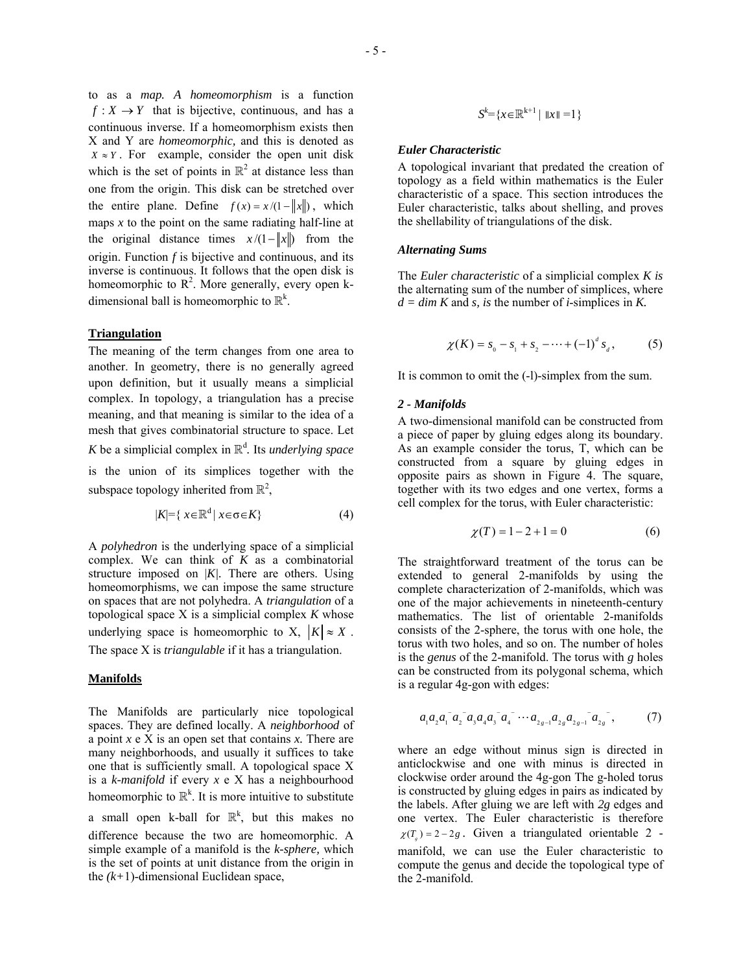to as a *map. A homeomorphism* is a function  $f: X \rightarrow Y$  that is bijective, continuous, and has a continuous inverse. If a homeomorphism exists then X and Y are *homeomorphic,* and this is denoted as  $X \approx Y$ . For example, consider the open unit disk which is the set of points in  $\mathbb{R}^2$  at distance less than one from the origin. This disk can be stretched over the entire plane. Define  $f(x) = x/(1 - ||x||)$ , which maps  $x$  to the point on the same radiating half-line at the original distance times  $x/(1 - ||x||)$  from the origin. Function *f* is bijective and continuous, and its inverse is continuous. It follows that the open disk is homeomorphic to  $\mathbb{R}^2$ . More generally, every open kdimensional ball is homeomorphic to  $\mathbb{R}^k$ .

### **Triangulation**

The meaning of the term changes from one area to another. In geometry, there is no generally agreed upon definition, but it usually means a simplicial complex. In topology, a triangulation has a precise meaning, and that meaning is similar to the idea of a mesh that gives combinatorial structure to space. Let *K* be a simplicial complex in  $\mathbb{R}^d$ . Its *underlying space* is the union of its simplices together with the subspace topology inherited from  $\mathbb{R}^2$ ,

$$
|K| = \{ x \in \mathbb{R}^d \mid x \in \sigma \in K \}
$$
 (4)

A *polyhedron* is the underlying space of a simplicial complex. We can think of *K* as a combinatorial structure imposed on |*K|.* There are others. Using homeomorphisms, we can impose the same structure on spaces that are not polyhedra. A *triangulation* of a topological space X is a simplicial complex *K* whose underlying space is homeomorphic to X,  $|K| \approx X$ . The space X is *triangulable* if it has a triangulation.

#### **Manifolds**

The Manifolds are particularly nice topological spaces. They are defined locally. A *neighborhood* of a point *x* e X is an open set that contains *x.* There are many neighborhoods, and usually it suffices to take one that is sufficiently small. A topological space X is a *k-manifold* if every *x* e X has a neighbourhood homeomorphic to  $\mathbb{R}^k$ . It is more intuitive to substitute

a small open k-ball for  $\mathbb{R}^k$ , but this makes no difference because the two are homeomorphic. A simple example of a manifold is the *k-sphere,* which is the set of points at unit distance from the origin in the *(k+*1)-dimensional Euclidean space,

$$
S^k = \{x \in \mathbb{R}^{k+1} \mid \|x\| = 1\}
$$

## *Euler Characteristic*

A topological invariant that predated the creation of topology as a field within mathematics is the Euler characteristic of a space. This section introduces the Euler characteristic, talks about shelling, and proves the shellability of triangulations of the disk.

## *Alternating Sums*

The *Euler characteristic* of a simplicial complex *K is* the alternating sum of the number of simplices, where  $d = \dim K$  and *s*, *is* the number of *i*-simplices in *K*.

$$
\chi(K) = s_0 - s_1 + s_2 - \dots + (-1)^d s_d, \tag{5}
$$

It is common to omit the (-l)-simplex from the sum.

## *2 - Manifolds*

A two-dimensional manifold can be constructed from a piece of paper by gluing edges along its boundary. As an example consider the torus, T, which can be constructed from a square by gluing edges in opposite pairs as shown in Figure 4. The square, together with its two edges and one vertex, forms a cell complex for the torus, with Euler characteristic:

$$
\chi(T) = 1 - 2 + 1 = 0 \tag{6}
$$

The straightforward treatment of the torus can be extended to general 2-manifolds by using the complete characterization of 2-manifolds, which was one of the major achievements in nineteenth-century mathematics. The list of orientable 2-manifolds consists of the 2-sphere, the torus with one hole, the torus with two holes, and so on. The number of holes is the *genus* of the 2-manifold. The torus with *g* holes can be constructed from its polygonal schema, which is a regular 4g-gon with edges:

$$
a_1 a_2 a_1 a_2 a_3 a_4 a_3 a_4 a_5 \cdots a_{2g-1} a_{2g} a_{2g-1} a_{2g} , \qquad (7)
$$

 $\chi(T) = 2 - 2g$ . Given a triangulated orientable 2 where an edge without minus sign is directed in anticlockwise and one with minus is directed in clockwise order around the 4g-gon The g-holed torus is constructed by gluing edges in pairs as indicated by the labels. After gluing we are left with *2g* edges and one vertex. The Euler characteristic is therefore manifold, we can use the Euler characteristic to compute the genus and decide the topological type of the 2-manifold.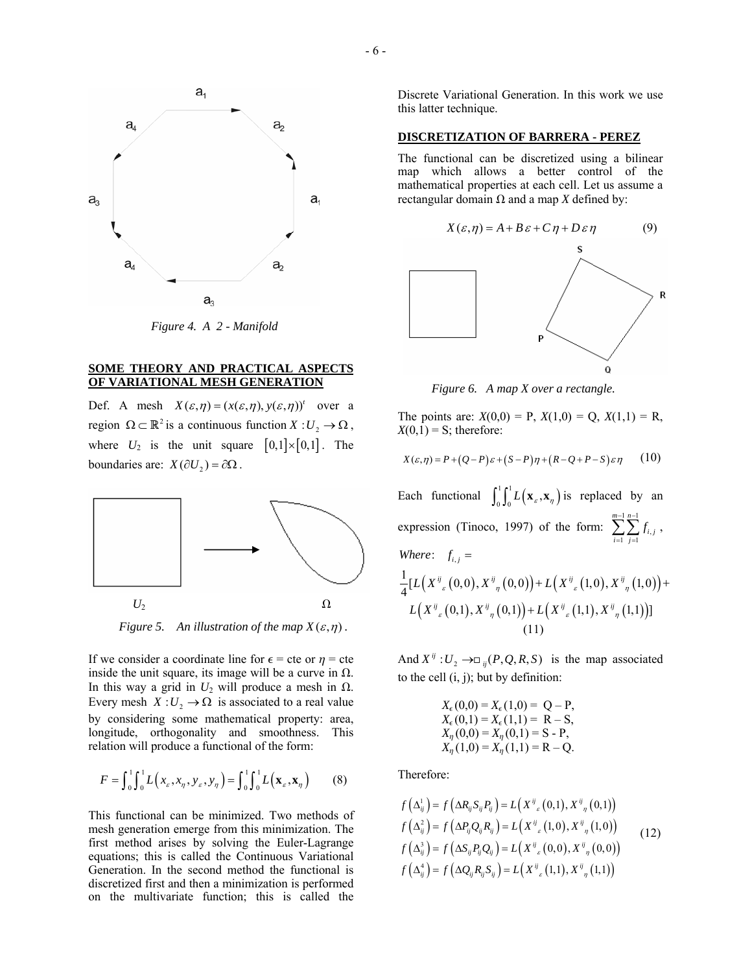

*Figure 4. A 2 - Manifold* 

## **SOME THEORY AND PRACTICAL ASPECTS OF VARIATIONAL MESH GENERATION**

Def. A mesh  $X(\varepsilon, \eta) = (x(\varepsilon, \eta), y(\varepsilon, \eta))^t$  over a region  $\Omega \subset \mathbb{R}^2$  is a continuous function  $X: U_2 \to \Omega$ , where  $U_2$  is the unit square  $[0,1] \times [0,1]$ . The boundaries are:  $X(\partial U_2) = \partial \Omega$ .



*Figure 5. An illustration of the map*  $X(\varepsilon, \eta)$ .

If we consider a coordinate line for  $\epsilon$  = cte or  $\eta$  = cte inside the unit square, its image will be a curve in  $\Omega$ . In this way a grid in  $U_2$  will produce a mesh in  $\Omega$ . Every mesh  $X: U_2 \to \Omega$  is associated to a real value by considering some mathematical property: area, longitude, orthogonality and smoothness. This relation will produce a functional of the form:

$$
F = \int_0^1 \int_0^1 L(x_\varepsilon, x_\eta, y_\varepsilon, y_\eta) = \int_0^1 \int_0^1 L(\mathbf{x}_\varepsilon, \mathbf{x}_\eta)
$$
 (8)

This functional can be minimized. Two methods of mesh generation emerge from this minimization. The first method arises by solving the Euler-Lagrange equations; this is called the Continuous Variational Generation. In the second method the functional is discretized first and then a minimization is performed on the multivariate function; this is called the

Discrete Variational Generation. In this work we use this latter technique.

## **DISCRETIZATION OF BARRERA - PEREZ**

The functional can be discretized using a bilinear map which allows a better control of the mathematical properties at each cell. Let us assume a rectangular domain  $\Omega$  and a map *X* defined by:



 *Figure 6. A map X over a rectangle.* 

The points are:  $X(0,0) = P$ ,  $X(1,0) = Q$ ,  $X(1,1) = R$ ,  $X(0,1) = S$ ; therefore:

$$
X(\varepsilon, \eta) = P + (Q - P)\varepsilon + (S - P)\eta + (R - Q + P - S)\varepsilon\eta \qquad (10)
$$

Each functional  $\int_0^1 \int_0^1 L(\mathbf{x}_s, \mathbf{x}_n)$  is replaced by an expression (Tinoco, 1997) of the form:  $\sum_{n=1}^{\infty} \sum_{n=1}^{\infty}$  $\sum_{i,j=1} J_{i,j}$  $-1$  n- $\sum_{i=1}^{m-1} \sum_{j=1}^{n-1}$  $\sum_{i=1}$   $\sum_{j=1}$   $J_{i,j}$  $f_{i,i}$ ,  $\frac{1}{4} [ L\Big( X^{\frac{ij}{\varepsilon}}\big(0,0\big), X^{\frac{ij}{\eta}}\big(0,0\big)\Big) + L\Big( X^{\frac{ij}{\varepsilon}}\big(1,0\big), X^{\frac{ij}{\eta}}\big(1,0\big)\Big)$ *Where*:  $f_{i,j} =$  $L(X^{ij}{}_{\varepsilon}(0,0), X^{ij}{}_{n}(0,0)) + L(X^{ij}{}_{\varepsilon}(1,0), X^{ij}{}_{n}(1,0)) +$  $L\left( X^{\frac{ij}{\varepsilon}}\left( 0,1 \right),X^{\frac{ij}{\eta}}\left( 0,1 \right) \right) + L\left( X^{\frac{ij}{\varepsilon}}\left( 1,1 \right),X^{\frac{ij}{\eta}}\left( 1,1 \right) \right) ]$ (11)

And  $X^{ij}: U_2 \longrightarrow \square_{ij}(P, Q, R, S)$  is the map associated to the cell  $(i, j)$ ; but by definition:

$$
X_{\epsilon}(0,0) = X_{\epsilon}(1,0) = Q - P,
$$
  
\n
$$
X_{\epsilon}(0,1) = X_{\epsilon}(1,1) = R - S,
$$
  
\n
$$
X_{\eta}(0,0) = X_{\eta}(0,1) = S - P,
$$
  
\n
$$
X_{\eta}(1,0) = X_{\eta}(1,1) = R - Q.
$$

Therefore:

$$
f\left(\Delta_{ij}^{1}\right) = f\left(\Delta R_{ij} S_{ij} P_{ij}\right) = L\left(X^{ij}_{\ \ \varepsilon}\left(0,1\right), X^{ij}_{\ \ \eta}\left(0,1\right)\right)
$$
  

$$
f\left(\Delta_{ij}^{2}\right) = f\left(\Delta P_{ij} Q_{ij} R_{ij}\right) = L\left(X^{ij}_{\ \ \varepsilon}\left(1,0\right), X^{ij}_{\ \ \eta}\left(1,0\right)\right)
$$
  

$$
f\left(\Delta_{ij}^{3}\right) = f\left(\Delta S_{ij} P_{ij} Q_{ij}\right) = L\left(X^{ij}_{\ \ \varepsilon}\left(0,0\right), X^{ij}_{\ \ \eta}\left(0,0\right)\right)
$$
  

$$
f\left(\Delta_{ij}^{4}\right) = f\left(\Delta Q_{ij} R_{ij} S_{ij}\right) = L\left(X^{ij}_{\ \ \varepsilon}\left(1,1\right), X^{ij}_{\ \ \eta}\left(1,1\right)\right)
$$
 (12)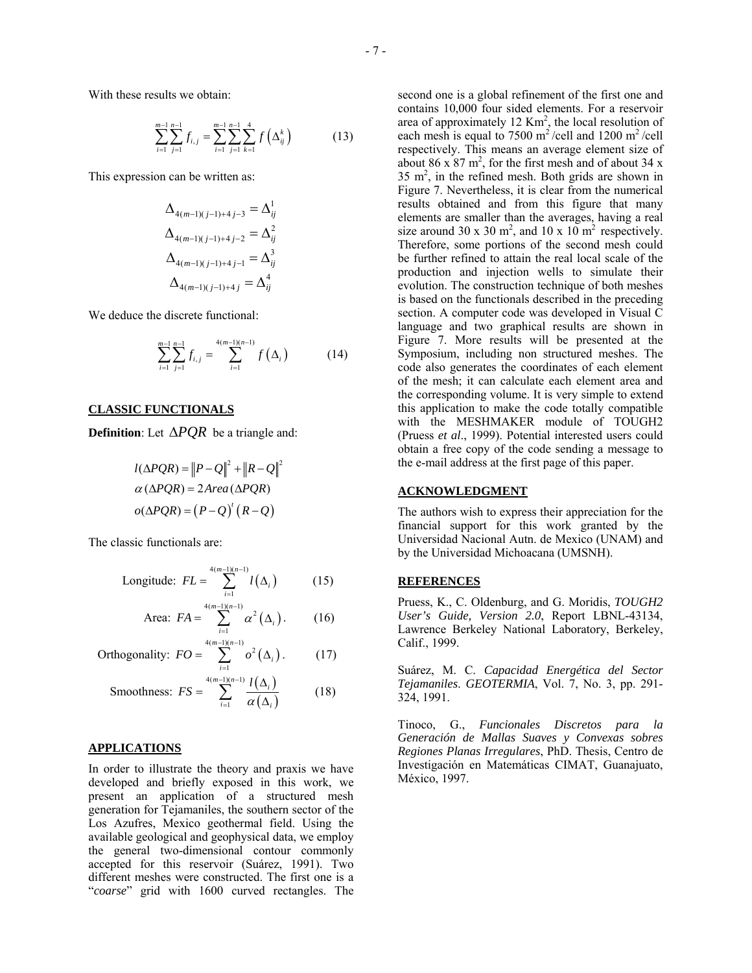With these results we obtain:

$$
\sum_{i=1}^{m-1} \sum_{j=1}^{n-1} f_{i,j} = \sum_{i=1}^{m-1} \sum_{j=1}^{n-1} \sum_{k=1}^{4} f\left(\Delta_{ij}^{k}\right)
$$
(13)

This expression can be written as:

$$
\Delta_{4(m-1)(j-1)+4j-3} = \Delta_{ij}^{1}
$$
  
\n
$$
\Delta_{4(m-1)(j-1)+4j-2} = \Delta_{ij}^{2}
$$
  
\n
$$
\Delta_{4(m-1)(j-1)+4j-1} = \Delta_{ij}^{3}
$$
  
\n
$$
\Delta_{4(m-1)(j-1)+4j} = \Delta_{ij}^{4}
$$

We deduce the discrete functional:

$$
\sum_{i=1}^{m-1} \sum_{j=1}^{n-1} f_{i,j} = \sum_{i=1}^{4(m-1)(n-1)} f(\Delta_i)
$$
 (14)

### **CLASSIC FUNCTIONALS**

**Definition**: Let Δ*PQR* be a triangle and:

$$
l(\Delta PQR) = ||P - Q||^{2} + ||R - Q||^{2}
$$

$$
\alpha (\Delta PQR) = 2Area (\Delta PQR)
$$

$$
o(\Delta PQR) = (P - Q)' (R - Q)
$$

The classic functionals are:

Longitude: 
$$
FL = \sum_{i=1}^{4(m-1)(n-1)} l(\Delta_i)
$$
 (15)

Area: 
$$
FA = \sum_{i=1}^{4(m-1)(n-1)} \alpha^2 (\Delta_i)
$$
. (16)

Orthogonality: 
$$
FO = \sum_{i=1}^{4(m-1)(n-1)} o^2(\Delta_i)
$$
. (17)

$$
\text{Smoothness: } FS = \sum_{i=1}^{4(m-1)(n-1)} \frac{l(\Delta_i)}{\alpha(\Delta_i)} \tag{18}
$$

### **APPLICATIONS**

In order to illustrate the theory and praxis we have developed and briefly exposed in this work, we present an application of a structured mesh generation for Tejamaniles, the southern sector of the Los Azufres, Mexico geothermal field. Using the available geological and geophysical data, we employ the general two-dimensional contour commonly accepted for this reservoir (Suárez, 1991). Two different meshes were constructed. The first one is a "*coarse*" grid with 1600 curved rectangles. The

second one is a global refinement of the first one and contains 10,000 four sided elements. For a reservoir area of approximately  $12 \text{ Km}^2$ , the local resolution of each mesh is equal to 7500 m<sup>2</sup>/cell and 1200 m<sup>2</sup>/cell respectively. This means an average element size of about 86 x  $87 \text{ m}^2$ , for the first mesh and of about 34 x  $35 \text{ m}^2$ , in the refined mesh. Both grids are shown in Figure 7. Nevertheless, it is clear from the numerical results obtained and from this figure that many elements are smaller than the averages, having a real size around 30 x 30 m<sup>2</sup>, and 10 x 10 m<sup>2</sup> respectively. Therefore, some portions of the second mesh could be further refined to attain the real local scale of the production and injection wells to simulate their evolution. The construction technique of both meshes is based on the functionals described in the preceding section. A computer code was developed in Visual C language and two graphical results are shown in Figure 7. More results will be presented at the Symposium, including non structured meshes. The code also generates the coordinates of each element of the mesh; it can calculate each element area and the corresponding volume. It is very simple to extend this application to make the code totally compatible with the MESHMAKER module of TOUGH2 (Pruess *et al*., 1999). Potential interested users could obtain a free copy of the code sending a message to the e-mail address at the first page of this paper.

### **ACKNOWLEDGMENT**

The authors wish to express their appreciation for the financial support for this work granted by the Universidad Nacional Autn. de Mexico (UNAM) and by the Universidad Michoacana (UMSNH).

### **REFERENCES**

Pruess, K., C. Oldenburg, and G. Moridis, *TOUGH2 User's Guide, Version 2.0*, Report LBNL-43134, Lawrence Berkeley National Laboratory, Berkeley, Calif., 1999.

Suárez, M. C. *Capacidad Energética del Sector Tejamaniles*. *GEOTERMIA*, Vol. 7, No. 3, pp. 291- 324, 1991.

Tinoco, G., *Funcionales Discretos para la Generación de Mallas Suaves y Convexas sobres Regiones Planas Irregulares*, PhD. Thesis, Centro de Investigación en Matemáticas CIMAT, Guanajuato, México, 1997.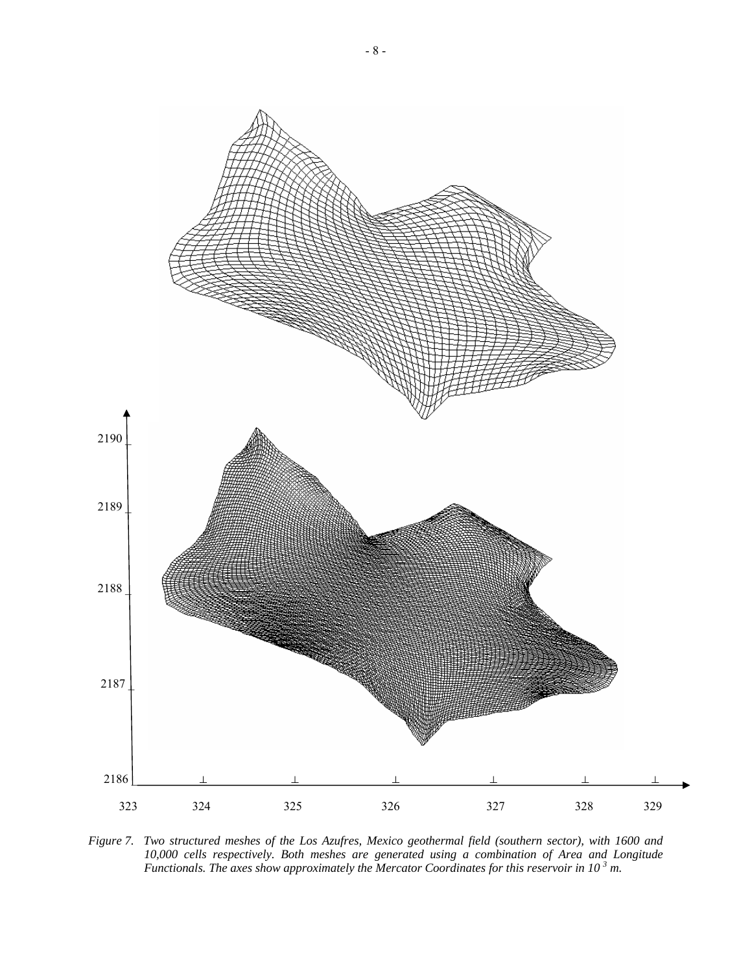

*Figure 7. Two structured meshes of the Los Azufres, Mexico geothermal field (southern sector), with 1600 and 10,000 cells respectively. Both meshes are generated using a combination of Area and Longitude Functionals. The axes show approximately the Mercator Coordinates for this reservoir in 10<sup>3</sup> m.*